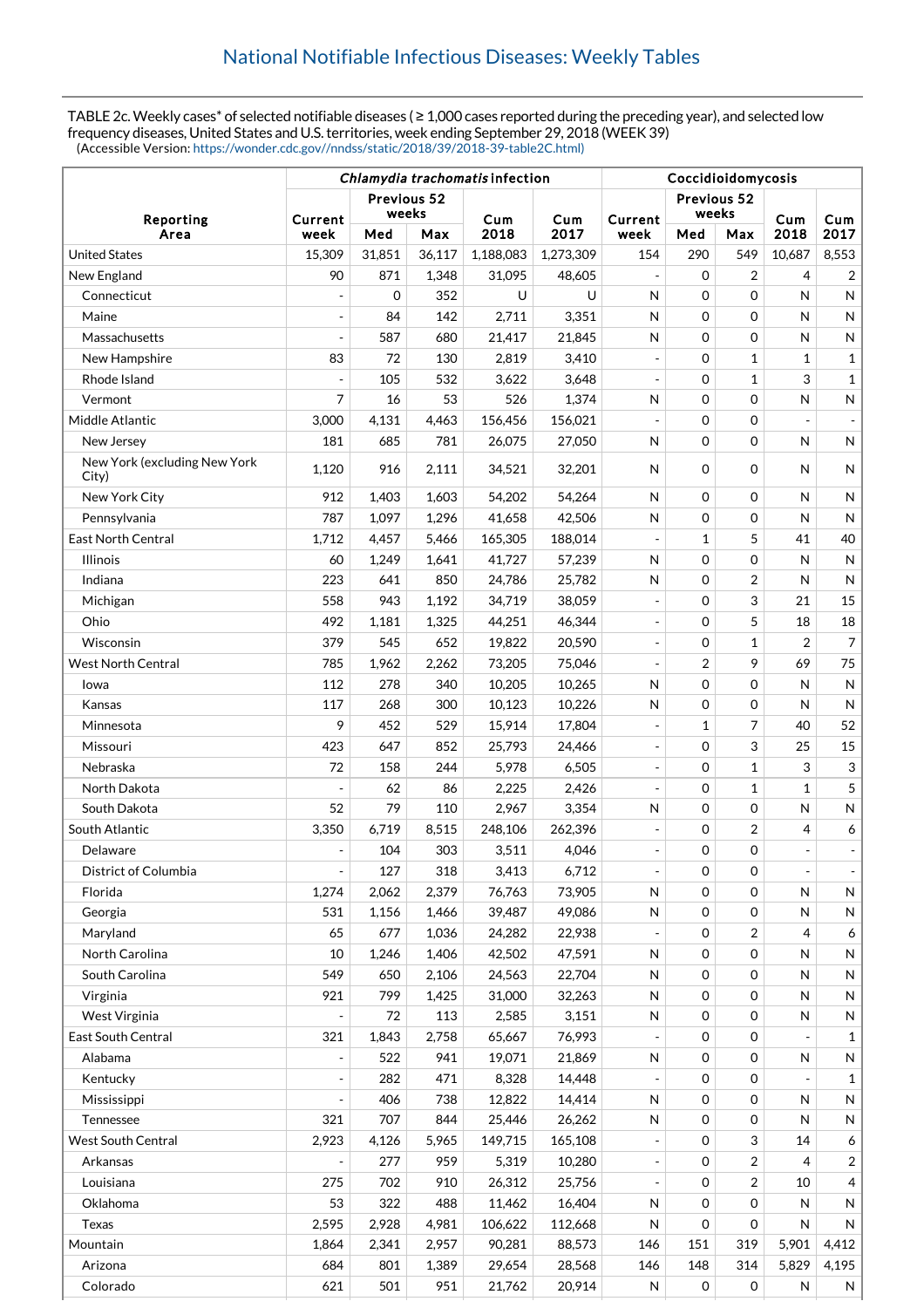TABLE 2c. Weekly cases\* of selected notifiable diseases ( ≥ 1,000 cases reported during the preceding year), and selected low frequency diseases, United States and U.S. territories, week ending September 29, 2018 (WEEK 39) (Accessible Version: [https://wonder.cdc.gov//nndss/static/2018/39/2018-39-table2C.html\)](https://wonder.cdc.gov//nndss/static/2018/39/2018-39-table2C.html)

|                                       | Chlamydia trachomatis infection |                      |        |           |           | Coccidioidomycosis       |                      |                |                          |                |
|---------------------------------------|---------------------------------|----------------------|--------|-----------|-----------|--------------------------|----------------------|----------------|--------------------------|----------------|
| Reporting                             | Current                         | Previous 52<br>weeks |        | Cum       | Cum       | Current                  | Previous 52<br>weeks |                | Cum                      | Cum            |
| Area                                  | week                            | Med                  | Max    | 2018      | 2017      | week                     | Med                  | Max            | 2018                     | 2017           |
| <b>United States</b>                  | 15,309                          | 31,851               | 36,117 | 1,188,083 | 1,273,309 | 154                      | 290                  | 549            | 10,687                   | 8,553          |
| New England                           | 90                              | 871                  | 1,348  | 31,095    | 48,605    | $\overline{a}$           | 0                    | $\overline{2}$ | 4                        | $\overline{2}$ |
| Connecticut                           |                                 | $\mathbf 0$          | 352    | U         | U         | N                        | 0                    | $\mathbf 0$    | N                        | N              |
| Maine                                 | $\overline{a}$                  | 84                   | 142    | 2,711     | 3,351     | N                        | 0                    | $\mathbf 0$    | N                        | $\mathsf{N}$   |
| Massachusetts                         | $\overline{a}$                  | 587                  | 680    | 21,417    | 21,845    | N                        | 0                    | $\mathbf 0$    | N                        | ${\sf N}$      |
| New Hampshire                         | 83                              | 72                   | 130    | 2,819     | 3,410     | $\overline{\phantom{a}}$ | 0                    | $\mathbf{1}$   | 1                        | $\mathbf{1}$   |
| Rhode Island                          | $\overline{a}$                  | 105                  | 532    | 3,622     | 3,648     |                          | 0                    | $\mathbf{1}$   | 3                        | $\mathbf{1}$   |
| Vermont                               | 7                               | 16                   | 53     | 526       | 1,374     | $\mathsf{N}$             | 0                    | $\mathbf 0$    | N                        | N              |
| Middle Atlantic                       | 3,000                           | 4,131                | 4,463  | 156,456   | 156,021   |                          | 0                    | $\mathbf 0$    |                          |                |
| New Jersey                            | 181                             | 685                  | 781    | 26,075    | 27,050    | N                        | 0                    | $\mathbf 0$    | N                        | N              |
| New York (excluding New York<br>City) | 1,120                           | 916                  | 2,111  | 34,521    | 32,201    | N                        | 0                    | $\Omega$       | N                        | N              |
| New York City                         | 912                             | 1,403                | 1,603  | 54,202    | 54,264    | N                        | 0                    | $\mathbf 0$    | N                        | N              |
| Pennsylvania                          | 787                             | 1,097                | 1,296  | 41,658    | 42,506    | N                        | 0                    | $\mathbf 0$    | N                        | $\mathsf{N}$   |
| <b>East North Central</b>             | 1,712                           | 4,457                | 5,466  | 165,305   | 188,014   | $\overline{a}$           | 1                    | 5              | 41                       | 40             |
| <b>Illinois</b>                       | 60                              | 1,249                | 1,641  | 41,727    | 57,239    | N                        | 0                    | $\mathbf 0$    | N                        | $\mathsf{N}$   |
| Indiana                               | 223                             | 641                  | 850    | 24,786    | 25,782    | N                        | 0                    | $\overline{2}$ | N                        | $\mathsf{N}$   |
| Michigan                              | 558                             | 943                  | 1,192  | 34,719    | 38,059    | $\overline{a}$           | 0                    | 3              | 21                       | 15             |
| Ohio                                  | 492                             | 1,181                | 1,325  | 44,251    | 46,344    |                          | 0                    | 5              | 18                       | 18             |
| Wisconsin                             | 379                             | 545                  | 652    | 19,822    | 20,590    | $\overline{a}$           | $\mathbf 0$          | $\mathbf{1}$   | 2                        | $\overline{7}$ |
| <b>West North Central</b>             | 785                             | 1,962                | 2,262  | 73,205    | 75,046    |                          | 2                    | 9              | 69                       | 75             |
| Iowa                                  | 112                             | 278                  | 340    | 10,205    | 10,265    | N                        | 0                    | $\mathbf 0$    | N                        | ${\sf N}$      |
| Kansas                                | 117                             | 268                  | 300    | 10,123    | 10,226    | N                        | 0                    | $\mathbf 0$    | N                        | $\mathsf{N}$   |
| Minnesota                             | 9                               | 452                  | 529    | 15,914    | 17,804    | $\overline{a}$           | 1                    | 7              | 40                       | 52             |
| Missouri                              | 423                             | 647                  | 852    | 25,793    | 24,466    | $\overline{a}$           | 0                    | 3              | 25                       | 15             |
| Nebraska                              | 72                              | 158                  | 244    | 5,978     | 6,505     | $\overline{a}$           | 0                    | $\mathbf{1}$   | 3                        | 3              |
| North Dakota                          | $\overline{a}$                  | 62                   | 86     | 2,225     | 2,426     | $\overline{a}$           | 0                    | $\mathbf{1}$   | 1                        | 5              |
| South Dakota                          | 52                              | 79                   | 110    | 2,967     | 3,354     | N                        | 0                    | $\mathbf 0$    | N                        | N              |
| South Atlantic                        | 3,350                           | 6,719                | 8,515  | 248,106   | 262,396   |                          | 0                    | $\overline{2}$ | 4                        | 6              |
| Delaware                              |                                 | 104                  | 303    | 3,511     | 4,046     | $\overline{\phantom{a}}$ | 0                    | 0              |                          |                |
| District of Columbia                  | $\overline{\phantom{a}}$        | 127                  | 318    | 3,413     | 6,712     | $\overline{\phantom{a}}$ | 0                    | 0              | $\overline{\phantom{a}}$ |                |
| Florida                               | 1,274                           | 2,062                | 2,379  | 76,763    | 73,905    | $\mathsf{N}$             | 0                    | $\Omega$       | N                        | N              |
| Georgia                               | 531                             | 1,156                | 1,466  | 39,487    | 49,086    | $\mathsf{N}$             | 0                    | $\mathbf 0$    | N                        | N              |
| Maryland                              | 65                              | 677                  | 1,036  | 24,282    | 22,938    |                          | 0                    | 2              | 4                        | 6              |
| North Carolina                        | 10                              | 1,246                | 1,406  | 42,502    | 47,591    | N                        | 0                    | 0              | N                        | N              |
| South Carolina                        | 549                             | 650                  | 2,106  | 24,563    | 22,704    | N                        | 0                    | 0              | N                        | N              |
| Virginia                              | 921                             | 799                  | 1,425  | 31,000    | 32,263    | N                        | 0                    | $\mathbf 0$    | N                        | N              |
| West Virginia                         |                                 | 72                   | 113    | 2,585     | 3,151     | $\mathsf{N}$             | 0                    | $\mathbf 0$    | N                        | N              |
| <b>East South Central</b>             | 321                             | 1,843                | 2,758  | 65,667    | 76,993    |                          | 0                    | $\mathbf 0$    |                          | $\mathbf{1}$   |
| Alabama                               | $\overline{a}$                  | 522                  | 941    | 19,071    | 21,869    | N                        | 0                    | 0              | N                        | N              |
| Kentucky                              |                                 | 282                  | 471    | 8,328     | 14,448    |                          | 0                    | $\mathbf 0$    |                          | 1              |
| Mississippi                           |                                 | 406                  | 738    | 12,822    | 14,414    | $\mathsf{N}$             | 0                    | 0              | N                        | N              |
| Tennessee                             | 321                             | 707                  | 844    | 25,446    | 26,262    | N                        | 0                    | 0              | N                        | N              |
| West South Central                    | 2,923                           | 4,126                | 5,965  | 149,715   | 165,108   |                          | 0                    | 3              | 14                       | 6              |
| Arkansas                              |                                 | 277                  | 959    | 5,319     | 10,280    |                          | 0                    | $\overline{2}$ | 4                        | $\overline{2}$ |
| Louisiana                             | 275                             | 702                  | 910    | 26,312    | 25,756    |                          | 0                    | $\overline{2}$ | 10                       | 4              |
| Oklahoma                              | 53                              | 322                  | 488    | 11,462    | 16,404    | $\mathsf{N}$             | 0                    | 0              | N                        | N              |
| Texas                                 | 2,595                           | 2,928                | 4,981  | 106,622   | 112,668   | N                        | 0                    | $\mathbf 0$    | N                        | N              |
| Mountain                              | 1,864                           | 2,341                | 2,957  | 90,281    | 88,573    | 146                      | 151                  | 319            | 5,901                    | 4,412          |
| Arizona                               | 684                             | 801                  | 1,389  | 29,654    | 28,568    | 146                      | 148                  | 314            | 5,829                    | 4,195          |
| Colorado                              | 621                             | 501                  | 951    | 21,762    | 20,914    | N                        | 0                    | 0              | N                        | N              |